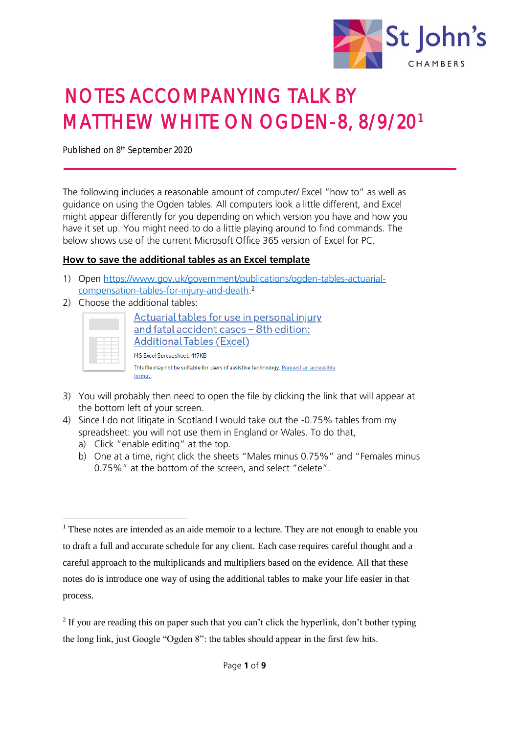

# NOTES ACCOMPANYING TALK BY MATTHEW WHITE ON OGDEN-8, 8/9/20<sup>1</sup>

Published on 8<sup>th</sup> September 2020

The following includes a reasonable amount of computer/ Excel "how to" as well as guidance on using the Ogden tables. All computers look a little different, and Excel might appear differently for you depending on which version you have and how you have it set up. You might need to do a little playing around to find commands. The below shows use of the current Microsoft Office 365 version of Excel for PC.

#### **How to save the additional tables as an Excel template**

- 1) Open [https://www.gov.uk/government/publications/ogden-tables-actuarial](https://www.gov.uk/government/publications/ogden-tables-actuarial-compensation-tables-for-injury-and-death)[compensation-tables-for-injury-and-death.](https://www.gov.uk/government/publications/ogden-tables-actuarial-compensation-tables-for-injury-and-death)<sup>2</sup>
- 2) Choose the additional tables:

| Actuarial tables for use in personal injury<br>and fatal accident cases - 8th edition:<br><b>Additional Tables (Excel)</b>       |
|----------------------------------------------------------------------------------------------------------------------------------|
| MS Excel Spreadsheet, 417KB<br>This file may not be suitable for users of assistive technology. Request an accessible<br>format. |

- 3) You will probably then need to open the file by clicking the link that will appear at the bottom left of your screen.
- 4) Since I do not litigate in Scotland I would take out the -0.75% tables from my spreadsheet: you will not use them in England or Wales. To do that,
	- a) Click "enable editing" at the top.

1

b) One at a time, right click the sheets "Males minus 0.75%" and "Females minus 0.75%" at the bottom of the screen, and select "delete".

 $<sup>1</sup>$  These notes are intended as an aide memoir to a lecture. They are not enough to enable you</sup> to draft a full and accurate schedule for any client. Each case requires careful thought and a careful approach to the multiplicands and multipliers based on the evidence. All that these notes do is introduce one way of using the additional tables to make your life easier in that process.

<sup>&</sup>lt;sup>2</sup> If you are reading this on paper such that you can't click the hyperlink, don't bother typing the long link, just Google "Ogden 8": the tables should appear in the first few hits.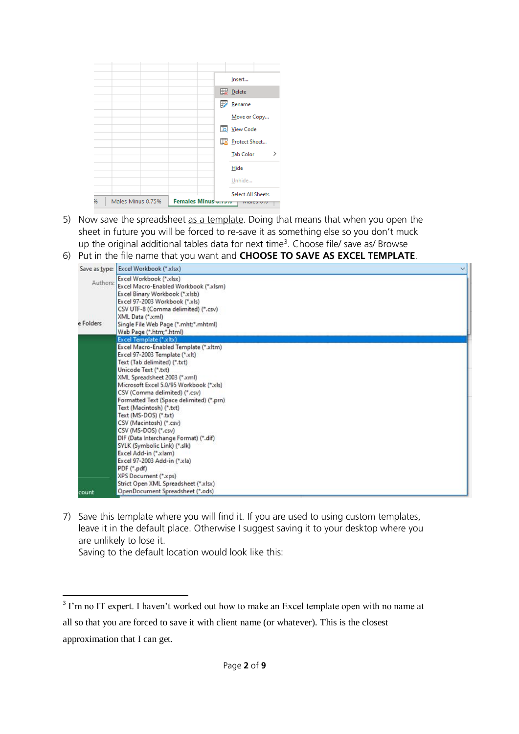|   |                   |                    |  | Insert                                  |                    |   |
|---|-------------------|--------------------|--|-----------------------------------------|--------------------|---|
|   |                   |                    |  | <b>Delete</b>                           |                    |   |
|   |                   |                    |  | $\overline{\mathbb{F}^{\prime}}$ Rename |                    |   |
|   |                   |                    |  | Move or Copy                            |                    |   |
|   |                   |                    |  | <b>io</b> View Code                     |                    |   |
|   |                   |                    |  | Protect Sheet                           |                    |   |
|   |                   |                    |  | <b>Tab Color</b>                        |                    | ゝ |
|   |                   |                    |  | Hide                                    |                    |   |
|   |                   |                    |  | Unhide                                  |                    |   |
|   |                   |                    |  | Select All Sheets                       |                    |   |
| % | Males Minus 0.75% | Females Minus v.r. |  |                                         | <b>IVIGICS U/U</b> |   |

- 5) Now save the spreadsheet as a template. Doing that means that when you open the sheet in future you will be forced to re-save it as something else so you don't muck up the original additional tables data for next time<sup>3</sup>. Choose file/ save as/ Browse
- 6) Put in the file name that you want and **CHOOSE TO SAVE AS EXCEL TEMPLATE**.

|                       | Save as type: Excel Workbook (*.xlsx)                                                                                                                                                                                                                              |  |
|-----------------------|--------------------------------------------------------------------------------------------------------------------------------------------------------------------------------------------------------------------------------------------------------------------|--|
| Authors:<br>e Folders | Excel Workbook (*.xlsx)<br>Excel Macro-Enabled Workbook (*.xlsm)<br>Excel Binary Workbook (*.xlsb)<br>Excel 97-2003 Workbook (*.xls)<br>CSV UTF-8 (Comma delimited) (*.csv)<br>XML Data (*.xml)<br>Single File Web Page (*.mht;*.mhtml)<br>Web Page (*.htm;*.html) |  |
|                       | Excel Template (*.xltx)                                                                                                                                                                                                                                            |  |
|                       | Excel Macro-Enabled Template (*.xitm)<br>Excel 97-2003 Template (*.xlt)<br>Text (Tab delimited) (*.b:t)                                                                                                                                                            |  |
|                       | Unicode Text (*.bxt)<br>XML Spreadsheet 2003 (*.xml)<br>Microsoft Excel 5.0/95 Workbook (*.xls)<br>CSV (Comma delimited) (*.csv)                                                                                                                                   |  |
|                       | Formatted Text (Space delimited) (*.prn)<br>Text (Macintosh) (*.txt)<br>Text (MS-DOS) (*.txt)<br>CSV (Macintosh) (*.csv)                                                                                                                                           |  |
|                       | CSV (MS-DOS) (*.csv)<br>DIF (Data Interchange Format) (*.dif)<br>SYLK (Symbolic Link) (*.slk)<br>Excel Add-in (*.xlam)                                                                                                                                             |  |
| count                 | Excel 97-2003 Add-in (*.xla)<br>PDF (*.pdf)<br>XPS Document (*.xps)<br>Strict Open XML Spreadsheet (*.xlsx)<br>OpenDocument Spreadsheet (*.ods)                                                                                                                    |  |

7) Save this template where you will find it. If you are used to using custom templates, leave it in the default place. Otherwise I suggest saving it to your desktop where you are unlikely to lose it.

Saving to the default location would look like this:

<sup>&</sup>lt;sup>3</sup> I'm no IT expert. I haven't worked out how to make an Excel template open with no name at all so that you are forced to save it with client name (or whatever). This is the closest approximation that I can get.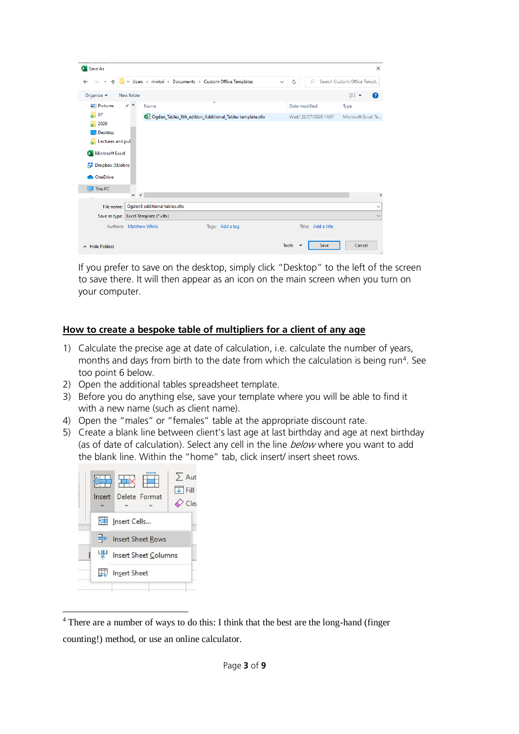| <b>X</b> Save As                                   |                           |                                       |                                                          |                          |              |              |                          |                       |      | $\times$                   |
|----------------------------------------------------|---------------------------|---------------------------------------|----------------------------------------------------------|--------------------------|--------------|--------------|--------------------------|-----------------------|------|----------------------------|
| $\rightarrow$<br>$\leftarrow$<br>$\mathbf{v}$<br>个 |                           |                                       | « Users > mwbri > Documents > Custom Office Templates    |                          | $\checkmark$ | Ō            |                          | Q                     |      | Search Custom Office Templ |
| Organise $\blacktriangleright$                     | New folder                |                                       |                                                          |                          |              |              |                          |                       | 胆 ▼  | Q                          |
| <b>Pictures</b>                                    | $\pi$ ^                   | Name                                  |                                                          | $\overline{\phantom{a}}$ |              |              | Date modified            |                       | Type |                            |
| b.<br>07<br>2020                                   |                           |                                       | Dgden_Tables_8th_edition_Additional_Tables template.xltx |                          |              |              |                          | Wed/ 22/07/2020 14:07 |      | Microsoft Excel Te         |
| Desktop<br>Lectures and pul<br>ь                   |                           |                                       |                                                          |                          |              |              |                          |                       |      |                            |
| Microsoft Excel                                    |                           |                                       |                                                          |                          |              |              |                          |                       |      |                            |
| Dropbox (StJohns                                   |                           |                                       |                                                          |                          |              |              |                          |                       |      |                            |
| OneDrive                                           |                           |                                       |                                                          |                          |              |              |                          |                       |      |                            |
| This PC                                            |                           |                                       |                                                          |                          |              |              |                          |                       |      |                            |
|                                                    | $\checkmark$<br>$\,$ $\,$ |                                       |                                                          |                          |              |              |                          |                       |      | $\rightarrow$              |
| File name:                                         |                           | Ogden8 additional tables.xltx         |                                                          |                          |              |              |                          |                       |      | $\checkmark$               |
|                                                    |                           | Save as type: Excel Template (*.xltx) |                                                          |                          |              |              |                          |                       |      | $\checkmark$               |
|                                                    | Authors: Matthew White    |                                       |                                                          | Tags: Add a tag          |              |              |                          | Title: Add a title    |      |                            |
| $\land$ Hide Folders                               |                           |                                       |                                                          |                          |              | <b>Tools</b> | $\overline{\phantom{a}}$ | Save                  |      | Cancel<br>                 |

If you prefer to save on the desktop, simply click "Desktop" to the left of the screen to save there. It will then appear as an icon on the main screen when you turn on your computer.

### **How to create a bespoke table of multipliers for a client of any age**

- 1) Calculate the precise age at date of calculation, i.e. calculate the number of years, months and days from birth to the date from which the calculation is being run<sup>4</sup>. See too point 6 below.
- 2) Open the additional tables spreadsheet template.
- 3) Before you do anything else, save your template where you will be able to find it with a new name (such as client name).
- 4) Open the "males" or "females" table at the appropriate discount rate.
- 5) Create a blank line between client's last age at last birthday and age at next birthday (as of date of calculation). Select any cell in the line below where you want to add the blank line. Within the "home" tab, click insert/ insert sheet rows.



<sup>1</sup> <sup>4</sup> There are a number of ways to do this: I think that the best are the long-hand (finger counting!) method, or use an online calculator.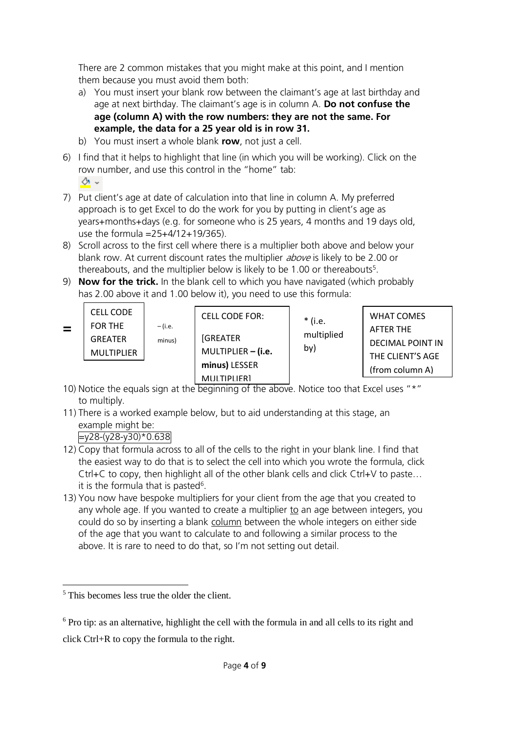There are 2 common mistakes that you might make at this point, and I mention them because you must avoid them both:

- a) You must insert your blank row between the claimant's age at last birthday and age at next birthday. The claimant's age is in column A. **Do not confuse the age (column A) with the row numbers: they are not the same. For example, the data for a 25 year old is in row 31.**
- b) You must insert a whole blank **row**, not just a cell.
- 6) I find that it helps to highlight that line (in which you will be working). Click on the row number, and use this control in the "home" tab: ◆ ↓
- 7) Put client's age at date of calculation into that line in column A. My preferred approach is to get Excel to do the work for you by putting in client's age as years+months+days (e.g. for someone who is 25 years, 4 months and 19 days old, use the formula =25+4/12+19/365).
- 8) Scroll across to the first cell where there is a multiplier both above and below your blank row. At current discount rates the multiplier *above* is likely to be 2.00 or thereabouts, and the multiplier below is likely to be 1.00 or thereabouts<sup>5</sup>.
- 9) **Now for the trick.** In the blank cell to which you have navigated (which probably has 2.00 above it and 1.00 below it), you need to use this formula:

| $\equiv$ | <b>CELL CODE</b><br>FOR THE<br><b>GREATER</b><br>MULTIPLIER | – (i.e.<br>minus) | <b>CELL CODE FOR:</b><br><b>[GREATER</b><br>MULTIPLIER $-$ (i.e. | * (i.e.<br>multiplied<br>by) | <b>WHAT COMES</b><br>AFTER THE<br><b>DECIMAL POINT IN</b><br>THE CLIENT'S AGE |
|----------|-------------------------------------------------------------|-------------------|------------------------------------------------------------------|------------------------------|-------------------------------------------------------------------------------|
|          |                                                             |                   | minus) LESSER                                                    |                              | (from column A)                                                               |
|          |                                                             |                   | MULTIPLIFRI                                                      |                              |                                                                               |

- 10) Notice the equals sign at the beginning of the above. Notice too that Excel uses "\*" to multiply.
- 11) There is a worked example below, but to aid understanding at this stage, an example might be:

## $=y28-(y28-y30)*0.638$

- 12) Copy that formula across to all of the cells to the right in your blank line. I find that the easiest way to do that is to select the cell into which you wrote the formula, click Ctrl+C to copy, then highlight all of the other blank cells and click Ctrl+V to paste… it is the formula that is pasted<sup>6</sup>.
- 13) You now have bespoke multipliers for your client from the age that you created to any whole age. If you wanted to create a multiplier  $to$  an age between integers, you</u> could do so by inserting a blank column between the whole integers on either side of the age that you want to calculate to and following a similar process to the above. It is rare to need to do that, so I'm not setting out detail.

<sup>-</sup> $<sup>5</sup>$  This becomes less true the older the client.</sup>

<sup>6</sup> Pro tip: as an alternative, highlight the cell with the formula in and all cells to its right and click Ctrl+R to copy the formula to the right.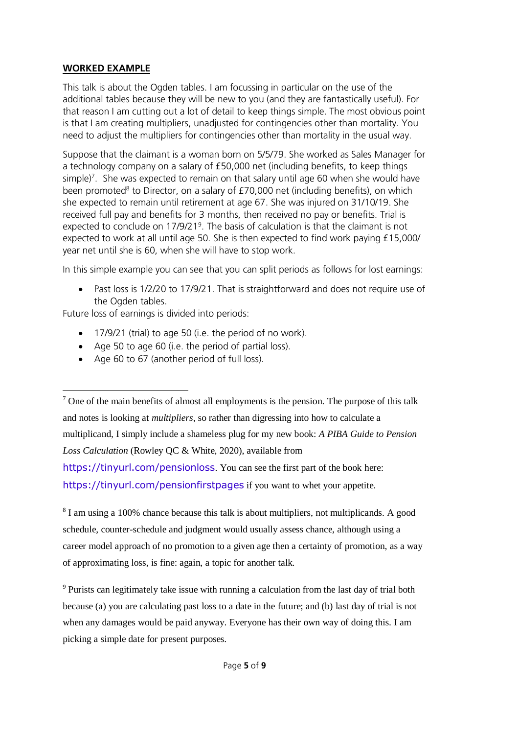### **WORKED EXAMPLE**

-

This talk is about the Ogden tables. I am focussing in particular on the use of the additional tables because they will be new to you (and they are fantastically useful). For that reason I am cutting out a lot of detail to keep things simple. The most obvious point is that I am creating multipliers, unadjusted for contingencies other than mortality. You need to adjust the multipliers for contingencies other than mortality in the usual way.

Suppose that the claimant is a woman born on 5/5/79. She worked as Sales Manager for a technology company on a salary of £50,000 net (including benefits, to keep things simple)<sup>7</sup>. She was expected to remain on that salary until age 60 when she would have been promoted<sup>8</sup> to Director, on a salary of £70,000 net (including benefits), on which she expected to remain until retirement at age 67. She was injured on 31/10/19. She received full pay and benefits for 3 months, then received no pay or benefits. Trial is expected to conclude on 17/9/21<sup>9</sup>. The basis of calculation is that the claimant is not expected to work at all until age 50. She is then expected to find work paying £15,000/ year net until she is 60, when she will have to stop work.

In this simple example you can see that you can split periods as follows for lost earnings:

• Past loss is 1/2/20 to 17/9/21. That is straightforward and does not require use of the Ogden tables.

Future loss of earnings is divided into periods:

- 17/9/21 (trial) to age 50 (i.e. the period of no work).
- Age 50 to age 60 (i.e. the period of partial loss).
- Age 60 to 67 (another period of full loss).

<https://tinyurl.com/pensionfirstpages> if you want to whet your appetite.

<sup>8</sup> I am using a 100% chance because this talk is about multipliers, not multiplicands. A good schedule, counter-schedule and judgment would usually assess chance, although using a career model approach of no promotion to a given age then a certainty of promotion, as a way of approximating loss, is fine: again, a topic for another talk.

 $9$  Purists can legitimately take issue with running a calculation from the last day of trial both because (a) you are calculating past loss to a date in the future; and (b) last day of trial is not when any damages would be paid anyway. Everyone has their own way of doing this. I am picking a simple date for present purposes.

 $<sup>7</sup>$  One of the main benefits of almost all employments is the pension. The purpose of this talk</sup> and notes is looking at *multipliers*, so rather than digressing into how to calculate a multiplicand, I simply include a shameless plug for my new book: *A PIBA Guide to Pension Loss Calculation* (Rowley QC & White, 2020), available from <https://tinyurl.com/pensionloss>. You can see the first part of the book here: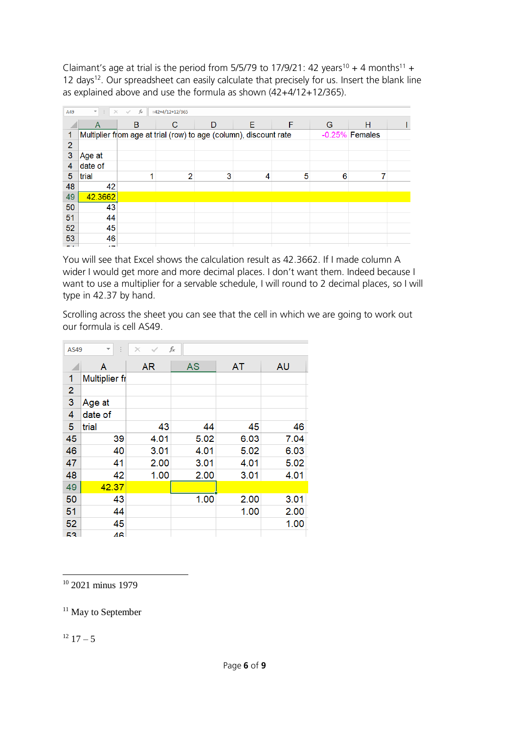Claimant's age at trial is the period from 5/5/79 to 17/9/21: 42 years<sup>10</sup> + 4 months<sup>11</sup> + 12 days<sup>12</sup>. Our spreadsheet can easily calculate that precisely for us. Insert the blank line as explained above and use the formula as shown (42+4/12+12/365).

| A49            | SD.<br>$\overline{\phantom{a}}$<br>$\times$ | $f_x$<br>$\checkmark$ | $=42+4/12+12/365$                                                 |   |   |   |   |                  |  |
|----------------|---------------------------------------------|-----------------------|-------------------------------------------------------------------|---|---|---|---|------------------|--|
|                | A                                           | B                     | C                                                                 | D | E | F | G | н                |  |
| 1              |                                             |                       | Multiplier from age at trial (row) to age (column), discount rate |   |   |   |   | $-0.25%$ Females |  |
| $\overline{2}$ |                                             |                       |                                                                   |   |   |   |   |                  |  |
| 3              | Age at                                      |                       |                                                                   |   |   |   |   |                  |  |
| 4              | date of                                     |                       |                                                                   |   |   |   |   |                  |  |
| 5              | trial                                       |                       | $\mathcal{P}$                                                     | 3 | 4 | 5 | 6 |                  |  |
| 48             | 42                                          |                       |                                                                   |   |   |   |   |                  |  |
| 49             | 42.3662                                     |                       |                                                                   |   |   |   |   |                  |  |
| 50             | 43                                          |                       |                                                                   |   |   |   |   |                  |  |
| 51             | 44                                          |                       |                                                                   |   |   |   |   |                  |  |
| 52             | 45                                          |                       |                                                                   |   |   |   |   |                  |  |
| 53             | 46                                          |                       |                                                                   |   |   |   |   |                  |  |
| e al           | $\overline{a}$                              |                       |                                                                   |   |   |   |   |                  |  |

You will see that Excel shows the calculation result as 42.3662. If I made column A wider I would get more and more decimal places. I don't want them. Indeed because I want to use a multiplier for a servable schedule, I will round to 2 decimal places, so I will type in 42.37 by hand.

Scrolling across the sheet you can see that the cell in which we are going to work out our formula is cell AS49.

| AS49           | ÷                    | $\times$  | fx   |      |           |
|----------------|----------------------|-----------|------|------|-----------|
|                | Α                    | <b>AR</b> | AS   | AT   | <b>AU</b> |
| 1              | <b>Multiplier fr</b> |           |      |      |           |
| $\overline{2}$ |                      |           |      |      |           |
| 3              | Age at               |           |      |      |           |
| 4              | date of              |           |      |      |           |
| 5              | trial                | 43        | 44   | 45   | 46        |
| 45             | 39                   | 4.01      | 5.02 | 6.03 | 7.04      |
| 46             | 40                   | 3.01      | 4.01 | 5.02 | 6.03      |
| 47             | 41                   | 2.00      | 3.01 | 4.01 | 5.02      |
| 48             | 42                   | 1.00      | 2.00 | 3.01 | 4.01      |
| 49             | 42.37                |           |      |      |           |
| 50             | 43                   |           | 1.00 | 2.00 | 3.01      |
| 51             | 44                   |           |      | 1.00 | 2.00      |
| 52             | 45                   |           |      |      | 1.00      |
| 53             | 46                   |           |      |      |           |

1 <sup>10</sup> 2021 minus 1979

 $11$  May to September

 $12 \frac{17}{-5}$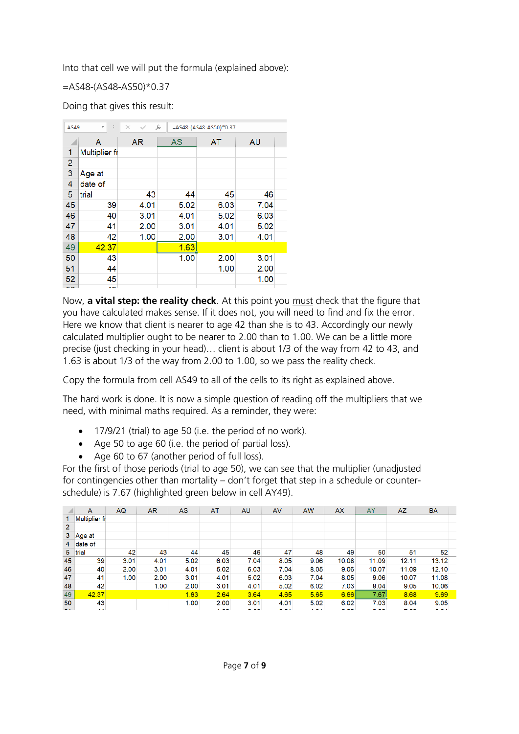Into that cell we will put the formula (explained above):

## =AS48-(AS48-AS50)\*0.37

Doing that gives this result:

| AS49           | $\overline{\mathbf{v}}$ | $\times$<br>$\checkmark$ | fx   | =AS48-(AS48-AS50)*0.37 |           |  |
|----------------|-------------------------|--------------------------|------|------------------------|-----------|--|
|                | A                       | <b>AR</b>                | AS   | AT                     | <b>AU</b> |  |
| 1              | <b>Multiplier fr</b>    |                          |      |                        |           |  |
| $\overline{c}$ |                         |                          |      |                        |           |  |
| 3              | Age at                  |                          |      |                        |           |  |
| 4              | date of                 |                          |      |                        |           |  |
| 5              | trial                   | 43                       | 44   | 45                     | 46        |  |
| 45             | 39                      | 4.01                     | 5.02 | 6.03                   | 7.04      |  |
| 46             | 40                      | 3.01                     | 4.01 | 5.02                   | 6.03      |  |
| 47             | 41                      | 2.00                     | 3.01 | 4.01                   | 5.02      |  |
| 48             | 42                      | 1.00                     | 2.00 | 3.01                   | 4.01      |  |
| 49             | 42.37                   |                          | 1.63 |                        |           |  |
| 50             | 43                      |                          | 1.00 | 2.00                   | 3.01      |  |
| 51             | 44                      |                          |      | 1.00                   | 2.00      |  |
| 52             | 45                      |                          |      |                        | 1.00      |  |
|                |                         |                          |      |                        |           |  |

Now, **a vital step: the reality check**. At this point you must check that the figure that you have calculated makes sense. If it does not, you will need to find and fix the error. Here we know that client is nearer to age 42 than she is to 43. Accordingly our newly calculated multiplier ought to be nearer to 2.00 than to 1.00. We can be a little more precise (just checking in your head)… client is about 1/3 of the way from 42 to 43, and 1.63 is about 1/3 of the way from 2.00 to 1.00, so we pass the reality check.

Copy the formula from cell AS49 to all of the cells to its right as explained above.

The hard work is done. It is now a simple question of reading off the multipliers that we need, with minimal maths required. As a reminder, they were:

- 17/9/21 (trial) to age 50 (i.e. the period of no work).
- Age 50 to age 60 (i.e. the period of partial loss).
- Age 60 to 67 (another period of full loss).

For the first of those periods (trial to age 50), we can see that the multiplier (unadjusted for contingencies other than mortality – don't forget that step in a schedule or counterschedule) is 7.67 (highlighted green below in cell AY49).

|                | A                    | AQ   | <b>AR</b> | <b>AS</b> | AT              | <b>AU</b>     | <b>AV</b> | <b>AW</b>       | <b>AX</b>   | <b>AY</b>     | <b>AZ</b> | <b>BA</b> |
|----------------|----------------------|------|-----------|-----------|-----------------|---------------|-----------|-----------------|-------------|---------------|-----------|-----------|
|                | <b>Multiplier fr</b> |      |           |           |                 |               |           |                 |             |               |           |           |
| 2              |                      |      |           |           |                 |               |           |                 |             |               |           |           |
| 3              | Age at               |      |           |           |                 |               |           |                 |             |               |           |           |
| 4              | date of              |      |           |           |                 |               |           |                 |             |               |           |           |
| 5 <sup>2</sup> | trial                | 42   | 43        | 44        | 45              | 46            | 47        | 48              | 49          | 50            | 51        | 52        |
| 45             | 39                   | 3.01 | 4.01      | 5.02      | 6.03            | 7.04          | 8.05      | 9.06            | 10.08       | 11.09         | 12.11     | 13.12     |
| 46             | 40                   | 2.00 | 3.01      | 4.01      | 5.02            | 6.03          | 7.04      | 8.05            | 9.06        | 10.07         | 11.09     | 12.10     |
| 47             | 41                   | 1.00 | 2.00      | 3.01      | 4.01            | 5.02          | 6.03      | 7.04            | 8.05        | 9.06          | 10.07     | 11.08     |
| 48             | 42                   |      | 1.00      | 2.00      | 3.01            | 4.01          | 5.02      | 6.02            | 7.03        | 8.04          | 9.05      | 10.06     |
| 49             | 42.37                |      |           | 1.63      | 2.64            | 3.64          | 4.65      | 5.65            | 6.66        | 7.67          | 8.68      | 9.69      |
| 50             | 43                   |      |           | 1.00      | 2.00            | 3.01          | 4.01      | 5.02            | 6.02        | 7.03          | 8.04      | 9.05      |
| e a l          | $\mathbf{A}$         |      |           |           | $\overline{AB}$ | $\sim$ $\sim$ | o os      | $\overline{AB}$ | <b>CONT</b> | $\sim$ $\sim$ | 7.88      | $A^*A$    |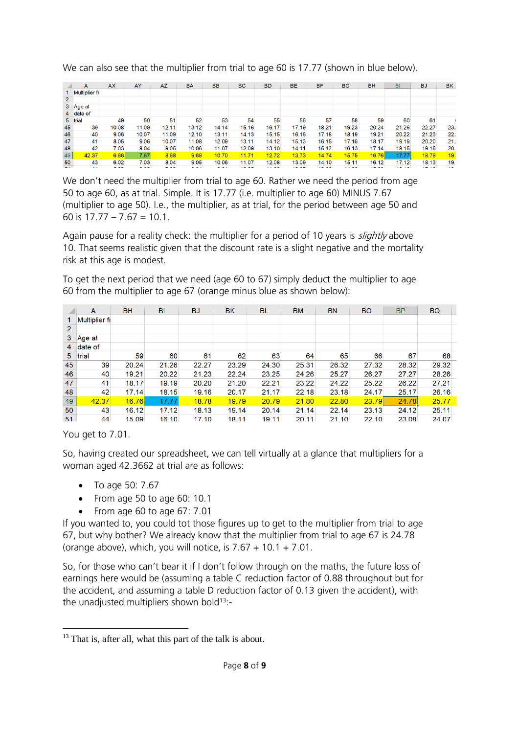|                | A                    | <b>AX</b> | AY    | AZ    | <b>BA</b> | <b>BB</b> | <b>BC</b> | <b>BD</b> | <b>BE</b> | <b>BF</b> | <b>BG</b> | <b>BH</b> | BI    | <b>BJ</b> | <b>BK</b> |
|----------------|----------------------|-----------|-------|-------|-----------|-----------|-----------|-----------|-----------|-----------|-----------|-----------|-------|-----------|-----------|
|                | <b>Multiplier fr</b> |           |       |       |           |           |           |           |           |           |           |           |       |           |           |
| $\overline{2}$ |                      |           |       |       |           |           |           |           |           |           |           |           |       |           |           |
| 3 <sup>1</sup> | ∣Age at              |           |       |       |           |           |           |           |           |           |           |           |       |           |           |
|                | 4 date of            |           |       |       |           |           |           |           |           |           |           |           |       |           |           |
|                | 5 trial              | 49        | 50    | 51    | 52        | 53        | 54        | 55        | 56        | 57        | 58        | 59        | 60    | 61        |           |
| 45             | 39                   | 10.08     | 11.09 | 12.11 | 13.12     | 14.14     | 15.16     | 16.17     | 17.19     | 18.21     | 19.23     | 20.24     | 21.26 | 22.27     | 23.       |
| 46             | 40                   | 9.06      | 10.07 | 11.09 | 12.10     | 13.11     | 14.13     | 15.15     | 16.16     | 17.18     | 18.19     | 19.21     | 20.22 | 21.23     | 22.       |
| 47             | 41                   | 8.05      | 9.06  | 10.07 | 11.08     | 12.09     | 13.11     | 14.12     | 15.13     | 16.15     | 17.16     | 18.17     | 19.19 | 20.20     | 21.       |
| 48             | 42                   | 7.03      | 8.04  | 9.05  | 10.06     | 11.07     | 12.09     | 13.10     | 14.11     | 15.12     | 16.13     | 17.14     | 18.15 | 19.16     | 20        |
| 49             | 42.37                | 6.66      | 7.67  | 8.68  | 9.69      | 10.70     | 11.71     | 12.72     | 13.73     | 14.74     | 15.75     | 16.76     | 17.77 | 18.78     | 19.       |
| 50             | 43                   | 6.02      | 7.03  | 8.04  | 9.05      | 10.06     | 11.07     | 12.08     | 13.09     | 14.10     | 15.11     | 16.12     | 17.12 | 18.13     | 19        |

We can also see that the multiplier from trial to age 60 is 17.77 (shown in blue below).

We don't need the multiplier from trial to age 60. Rather we need the period from age 50 to age 60, as at trial. Simple. It is 17.77 (i.e. multiplier to age 60) MINUS 7.67 (multiplier to age 50). I.e., the multiplier, as at trial, for the period between age 50 and 60 is  $17.77 - 7.67 = 10.1$ .

Again pause for a reality check: the multiplier for a period of 10 years is *slightly* above 10. That seems realistic given that the discount rate is a slight negative and the mortality risk at this age is modest.

To get the next period that we need (age 60 to 67) simply deduct the multiplier to age 60 from the multiplier to age 67 (orange minus blue as shown below):

|                | A                    | <b>BH</b> | BI    | <b>BJ</b> | <b>BK</b> | BL    | <b>BM</b> | <b>BN</b> | <b>BO</b> | <b>BP</b> | <b>BQ</b> |
|----------------|----------------------|-----------|-------|-----------|-----------|-------|-----------|-----------|-----------|-----------|-----------|
|                | <b>Multiplier fr</b> |           |       |           |           |       |           |           |           |           |           |
| $\overline{2}$ |                      |           |       |           |           |       |           |           |           |           |           |
| 3              | Age at               |           |       |           |           |       |           |           |           |           |           |
| 4              | date of              |           |       |           |           |       |           |           |           |           |           |
| 5              | trial                | 59        | 60    | 61        | 62        | 63    | 64        | 65        | 66        | 67        | 68        |
| 45             | 39                   | 20.24     | 21.26 | 22.27     | 23.29     | 24.30 | 25.31     | 26.32     | 27.32     | 28.32     | 29.32     |
| 46             | 40                   | 19.21     | 20.22 | 21.23     | 22.24     | 23.25 | 24.26     | 25.27     | 26.27     | 27.27     | 28.26     |
| 47             | 41                   | 18.17     | 19.19 | 20.20     | 21.20     | 22.21 | 23.22     | 24.22     | 25.22     | 26.22     | 27.21     |
| 48             | 42                   | 17.14     | 18.15 | 19.16     | 20.17     | 21.17 | 22.18     | 23.18     | 24.17     | 25.17     | 26.16     |
| 49             | 42.37                | 16.76     | 17.77 | 18.78     | 19.79     | 20.79 | 21.80     | 22.80     | 23.79     | 24.78     | 25.77     |
| 50             | 43                   | 16.12     | 17.12 | 18.13     | 19.14     | 20.14 | 21.14     | 22.14     | 23.13     | 24.12     | 25.11     |
| 51             | 44                   | 15.09     | 16.10 | 17.10     | 18.11     | 19.11 | 20.11     | 21.10     | 22.10     | 23.08     | 24.07     |

You get to 7.01.

**.** 

So, having created our spreadsheet, we can tell virtually at a glance that multipliers for a woman aged 42.3662 at trial are as follows:

- To age 50: 7.67
- From age 50 to age 60: 10.1
- $\bullet$  From age 60 to age 67: 7.01

If you wanted to, you could tot those figures up to get to the multiplier from trial to age 67, but why bother? We already know that the multiplier from trial to age 67 is 24.78 (orange above), which, you will notice, is  $7.67 + 10.1 + 7.01$ .

So, for those who can't bear it if I don't follow through on the maths, the future loss of earnings here would be (assuming a table C reduction factor of 0.88 throughout but for the accident, and assuming a table D reduction factor of 0.13 given the accident), with the unadjusted multipliers shown bold<sup>13</sup>:-

<sup>&</sup>lt;sup>13</sup> That is, after all, what this part of the talk is about.